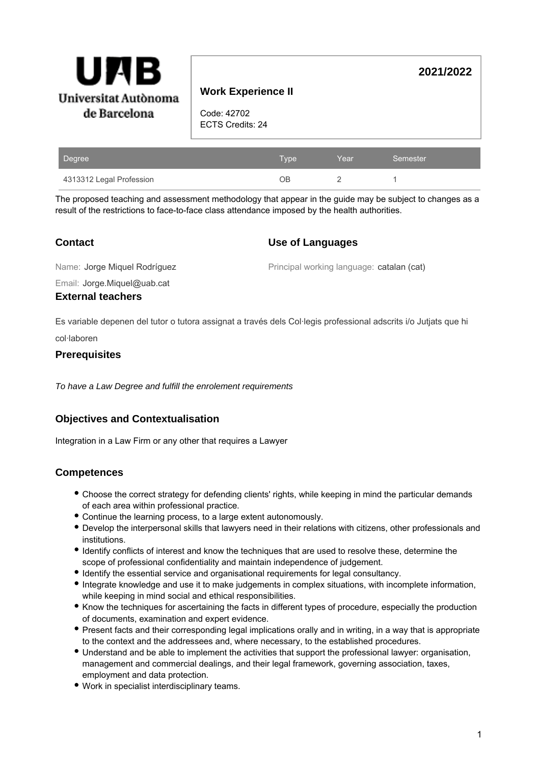

# **Work Experience II**

Code: 42702 ECTS Credits: 24

| Degree                   | Type . | Year | Semester |
|--------------------------|--------|------|----------|
| 4313312 Legal Profession | DВ     |      |          |

The proposed teaching and assessment methodology that appear in the guide may be subject to changes as a result of the restrictions to face-to-face class attendance imposed by the health authorities.

## **Contact**

## **Use of Languages**

Name: Jorge Miquel Rodríguez

Principal working language: catalan (cat)

**2021/2022**

Email: Jorge.Miquel@uab.cat

## **External teachers**

Es variable depenen del tutor o tutora assignat a través dels Col·legis professional adscrits i/o Jutjats que hi

col·laboren

## **Prerequisites**

To have a Law Degree and fulfill the enrolement requirements

# **Objectives and Contextualisation**

Integration in a Law Firm or any other that requires a Lawyer

# **Competences**

- Choose the correct strategy for defending clients' rights, while keeping in mind the particular demands of each area within professional practice.
- Continue the learning process, to a large extent autonomously.
- Develop the interpersonal skills that lawyers need in their relations with citizens, other professionals and institutions.
- Identify conflicts of interest and know the techniques that are used to resolve these, determine the scope of professional confidentiality and maintain independence of judgement.
- $\bullet$  Identify the essential service and organisational requirements for legal consultancy.
- Integrate knowledge and use it to make judgements in complex situations, with incomplete information, while keeping in mind social and ethical responsibilities.
- Know the techniques for ascertaining the facts in different types of procedure, especially the production of documents, examination and expert evidence.
- Present facts and their corresponding legal implications orally and in writing, in a way that is appropriate to the context and the addressees and, where necessary, to the established procedures.
- Understand and be able to implement the activities that support the professional lawyer: organisation, management and commercial dealings, and their legal framework, governing association, taxes, employment and data protection.
- Work in specialist interdisciplinary teams.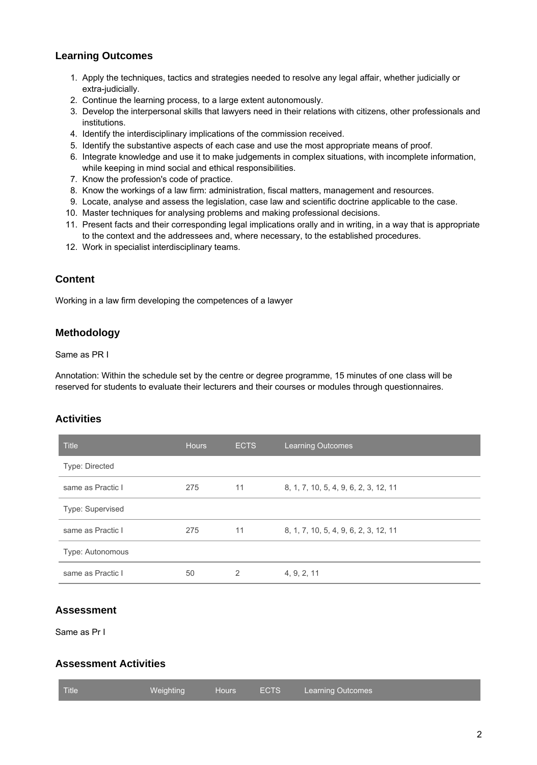# **Learning Outcomes**

- 1. Apply the techniques, tactics and strategies needed to resolve any legal affair, whether judicially or extra-judicially.
- 2. Continue the learning process, to a large extent autonomously.
- 3. Develop the interpersonal skills that lawyers need in their relations with citizens, other professionals and institutions.
- 4. Identify the interdisciplinary implications of the commission received.
- 5. Identify the substantive aspects of each case and use the most appropriate means of proof.
- 6. Integrate knowledge and use it to make judgements in complex situations, with incomplete information, while keeping in mind social and ethical responsibilities.
- 7. Know the profession's code of practice.
- 8. Know the workings of a law firm: administration, fiscal matters, management and resources.
- 9. Locate, analyse and assess the legislation, case law and scientific doctrine applicable to the case.
- 10. Master techniques for analysing problems and making professional decisions.
- 11. Present facts and their corresponding legal implications orally and in writing, in a way that is appropriate to the context and the addressees and, where necessary, to the established procedures.
- 12. Work in specialist interdisciplinary teams.

## **Content**

Working in a law firm developing the competences of a lawyer

## **Methodology**

Same as PR I

Annotation: Within the schedule set by the centre or degree programme, 15 minutes of one class will be reserved for students to evaluate their lecturers and their courses or modules through questionnaires.

## **Activities**

| <b>Title</b>            | <b>Hours</b> | <b>ECTS</b> | <b>Learning Outcomes</b>              |
|-------------------------|--------------|-------------|---------------------------------------|
| Type: Directed          |              |             |                                       |
| same as Practic I       | 275          | 11          | 8, 1, 7, 10, 5, 4, 9, 6, 2, 3, 12, 11 |
| <b>Type: Supervised</b> |              |             |                                       |
| same as Practic I       | 275          | 11          | 8, 1, 7, 10, 5, 4, 9, 6, 2, 3, 12, 11 |
| Type: Autonomous        |              |             |                                       |
| same as Practic I       | 50           | 2           | 4, 9, 2, 11                           |

## **Assessment**

Same as Pr I

# **Assessment Activities**

| <b>Title</b><br><b>Learning Outcomes</b> |
|------------------------------------------|
|------------------------------------------|